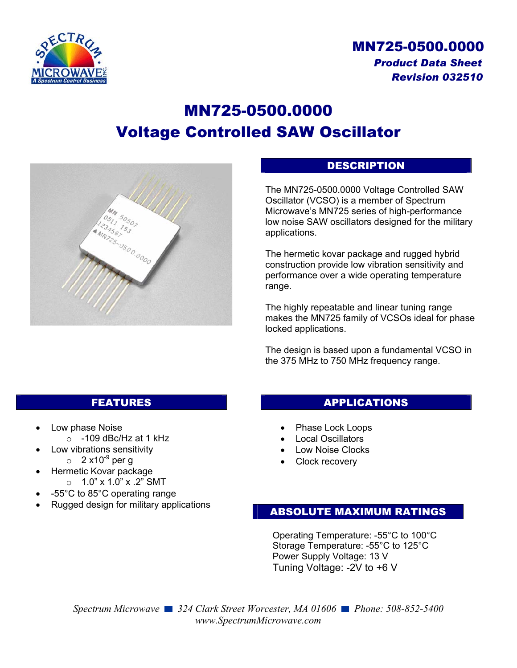

# MN725-0500.0000 *Product Data Sheet Revision 032510*

# MN725-0500.0000 Voltage Controlled SAW Oscillator



## DESCRIPTION

The MN725-0500.0000 Voltage Controlled SAW Oscillator (VCSO) is a member of Spectrum Microwave's MN725 series of high-performance low noise SAW oscillators designed for the military applications.

The hermetic kovar package and rugged hybrid construction provide low vibration sensitivity and performance over a wide operating temperature range.

The highly repeatable and linear tuning range makes the MN725 family of VCSOs ideal for phase locked applications.

The design is based upon a fundamental VCSO in the 375 MHz to 750 MHz frequency range.

## FEATURES

- Low phase Noise
	- $\circ$  -109 dBc/Hz at 1 kHz
- Low vibrations sensitivity
	- $\circ$  2 x10<sup>-9</sup> per q
	- Hermetic Kovar package
	- $\circ$  1.0" x 1.0" x .2" SMT
- -55°C to 85°C operating range
- Rugged design for military applications

#### APPLICATIONS

- Phase Lock Loops
- Local Oscillators
- Low Noise Clocks
- Clock recovery

#### ABSOLUTE MAXIMUM RATINGS

Operating Temperature: -55°C to 100°C Storage Temperature: -55°C to 125°C Power Supply Voltage: 13 V Tuning Voltage: -2V to +6 V

*Spectrum Microwave* ■ 324 Clark Street Worcester, MA 01606 ■ Phone: 508-852-5400 *www.SpectrumMicrowave.com*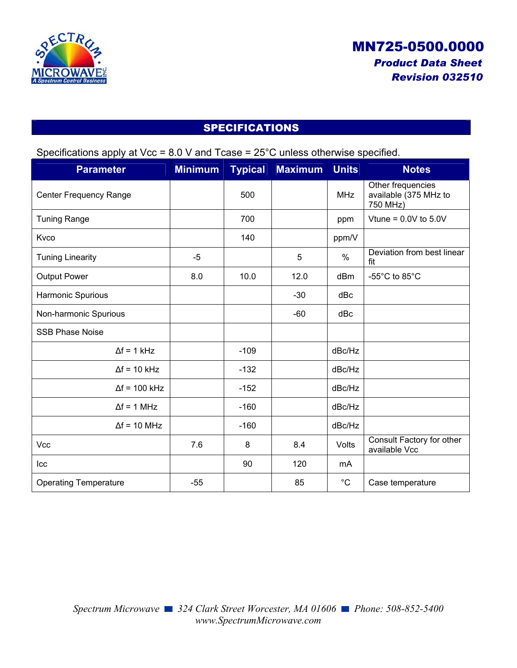

# SPECIFICATIONS

|  | Specifications apply at Vcc = $8.0$ V and Tcase = $25^{\circ}$ C unless otherwise specified. |
|--|----------------------------------------------------------------------------------------------|
|  |                                                                                              |
|  |                                                                                              |

| <b>Parameter</b>              | <b>Minimum</b> | <b>Typical</b> | <b>Maximum</b> | <b>Units</b>  | <b>Notes</b>                                           |
|-------------------------------|----------------|----------------|----------------|---------------|--------------------------------------------------------|
| <b>Center Frequency Range</b> |                | 500            |                | <b>MHz</b>    | Other frequencies<br>available (375 MHz to<br>750 MHz) |
| <b>Tuning Range</b>           |                | 700            |                | ppm           | Vtune = $0.0V$ to $5.0V$                               |
| Kvco                          |                | 140            |                | ppm/V         |                                                        |
| <b>Tuning Linearity</b>       | $-5$           |                | 5              | $\frac{0}{0}$ | Deviation from best linear<br>fit                      |
| <b>Output Power</b>           | 8.0            | 10.0           | 12.0           | dBm           | -55°C to 85°C                                          |
| Harmonic Spurious             |                |                | $-30$          | dBc           |                                                        |
| Non-harmonic Spurious         |                |                | $-60$          | dBc           |                                                        |
| <b>SSB Phase Noise</b>        |                |                |                |               |                                                        |
| $\Delta f = 1$ kHz            |                | $-109$         |                | dBc/Hz        |                                                        |
| $\Delta f = 10$ kHz           |                | $-132$         |                | dBc/Hz        |                                                        |
| $\Delta f = 100$ kHz          |                | $-152$         |                | dBc/Hz        |                                                        |
| $\Delta f = 1$ MHz            |                | $-160$         |                | dBc/Hz        |                                                        |
| $\Delta f = 10$ MHz           |                | $-160$         |                | dBc/Hz        |                                                        |
| Vcc                           | 7.6            | 8              | 8.4            | Volts         | Consult Factory for other<br>available Vcc             |
| Icc                           |                | 90             | 120            | mA            |                                                        |
| <b>Operating Temperature</b>  | $-55$          |                | 85             | $^{\circ}C$   | Case temperature                                       |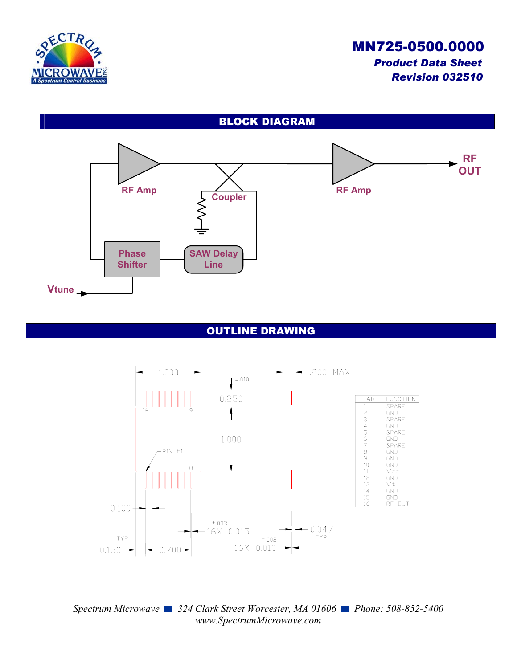

# MN725-0500.0000 *Product Data Sheet Revision 032510*





### OUTLINE DRAWING



#### *Spectrum Microwave* ■ 324 Clark Street Worcester, MA 01606 ■ Phone: 508-852-5400 *www.SpectrumMicrowave.com*